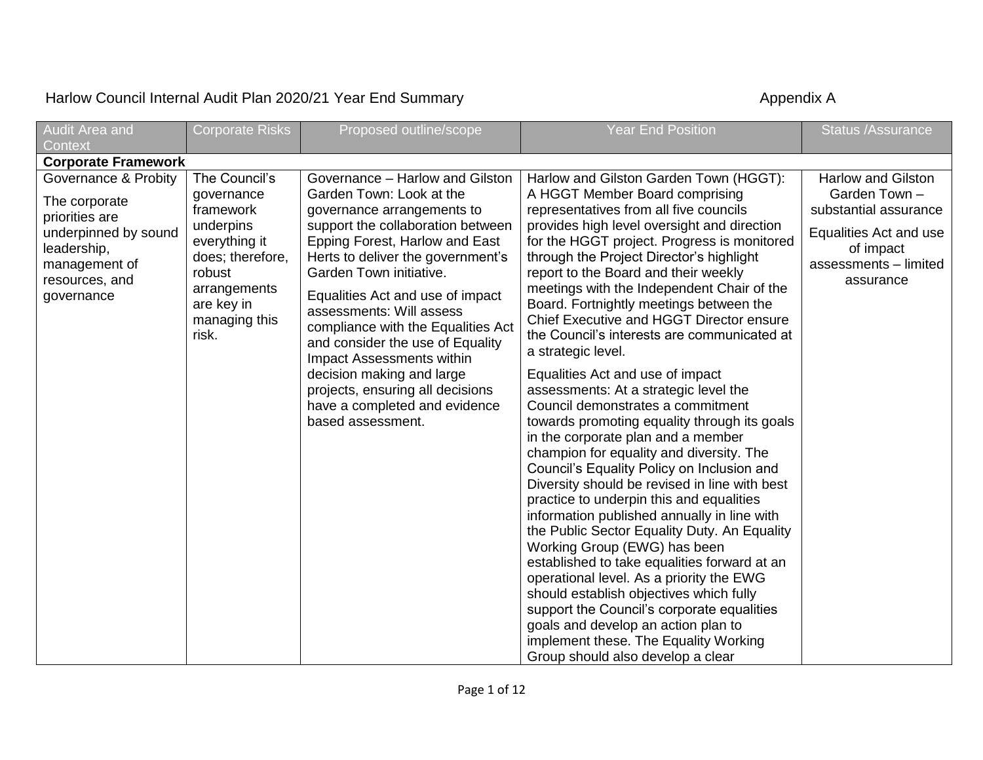## Harlow Council Internal Audit Plan 2020/21 Year End Summary **Accouncil Strutter Accouncil Accouncil** Appendix A

| Audit Area and<br>Context                                                                                                                       | <b>Corporate Risks</b>                                                                                                                                       | Proposed outline/scope                                                                                                                                                                                                                                                                                                                                                                                                                                                                                                         | <b>Year End Position</b>                                                                                                                                                                                                                                                                                                                                                                                                                                                                                                                                                                                                                                                                                                                                                                                                                                                                                                                                                                                                                                                                                                                                                                                                                                                                                                                               | <b>Status /Assurance</b>                                                                                                                         |
|-------------------------------------------------------------------------------------------------------------------------------------------------|--------------------------------------------------------------------------------------------------------------------------------------------------------------|--------------------------------------------------------------------------------------------------------------------------------------------------------------------------------------------------------------------------------------------------------------------------------------------------------------------------------------------------------------------------------------------------------------------------------------------------------------------------------------------------------------------------------|--------------------------------------------------------------------------------------------------------------------------------------------------------------------------------------------------------------------------------------------------------------------------------------------------------------------------------------------------------------------------------------------------------------------------------------------------------------------------------------------------------------------------------------------------------------------------------------------------------------------------------------------------------------------------------------------------------------------------------------------------------------------------------------------------------------------------------------------------------------------------------------------------------------------------------------------------------------------------------------------------------------------------------------------------------------------------------------------------------------------------------------------------------------------------------------------------------------------------------------------------------------------------------------------------------------------------------------------------------|--------------------------------------------------------------------------------------------------------------------------------------------------|
| <b>Corporate Framework</b>                                                                                                                      |                                                                                                                                                              |                                                                                                                                                                                                                                                                                                                                                                                                                                                                                                                                |                                                                                                                                                                                                                                                                                                                                                                                                                                                                                                                                                                                                                                                                                                                                                                                                                                                                                                                                                                                                                                                                                                                                                                                                                                                                                                                                                        |                                                                                                                                                  |
| Governance & Probity<br>The corporate<br>priorities are<br>underpinned by sound<br>leadership,<br>management of<br>resources, and<br>governance | The Council's<br>governance<br>framework<br>underpins<br>everything it<br>does; therefore,<br>robust<br>arrangements<br>are key in<br>managing this<br>risk. | Governance - Harlow and Gilston<br>Garden Town: Look at the<br>governance arrangements to<br>support the collaboration between<br>Epping Forest, Harlow and East<br>Herts to deliver the government's<br>Garden Town initiative.<br>Equalities Act and use of impact<br>assessments: Will assess<br>compliance with the Equalities Act<br>and consider the use of Equality<br>Impact Assessments within<br>decision making and large<br>projects, ensuring all decisions<br>have a completed and evidence<br>based assessment. | Harlow and Gilston Garden Town (HGGT):<br>A HGGT Member Board comprising<br>representatives from all five councils<br>provides high level oversight and direction<br>for the HGGT project. Progress is monitored<br>through the Project Director's highlight<br>report to the Board and their weekly<br>meetings with the Independent Chair of the<br>Board. Fortnightly meetings between the<br>Chief Executive and HGGT Director ensure<br>the Council's interests are communicated at<br>a strategic level.<br>Equalities Act and use of impact<br>assessments: At a strategic level the<br>Council demonstrates a commitment<br>towards promoting equality through its goals<br>in the corporate plan and a member<br>champion for equality and diversity. The<br>Council's Equality Policy on Inclusion and<br>Diversity should be revised in line with best<br>practice to underpin this and equalities<br>information published annually in line with<br>the Public Sector Equality Duty. An Equality<br>Working Group (EWG) has been<br>established to take equalities forward at an<br>operational level. As a priority the EWG<br>should establish objectives which fully<br>support the Council's corporate equalities<br>goals and develop an action plan to<br>implement these. The Equality Working<br>Group should also develop a clear | <b>Harlow and Gilston</b><br>Garden Town -<br>substantial assurance<br>Equalities Act and use<br>of impact<br>assessments - limited<br>assurance |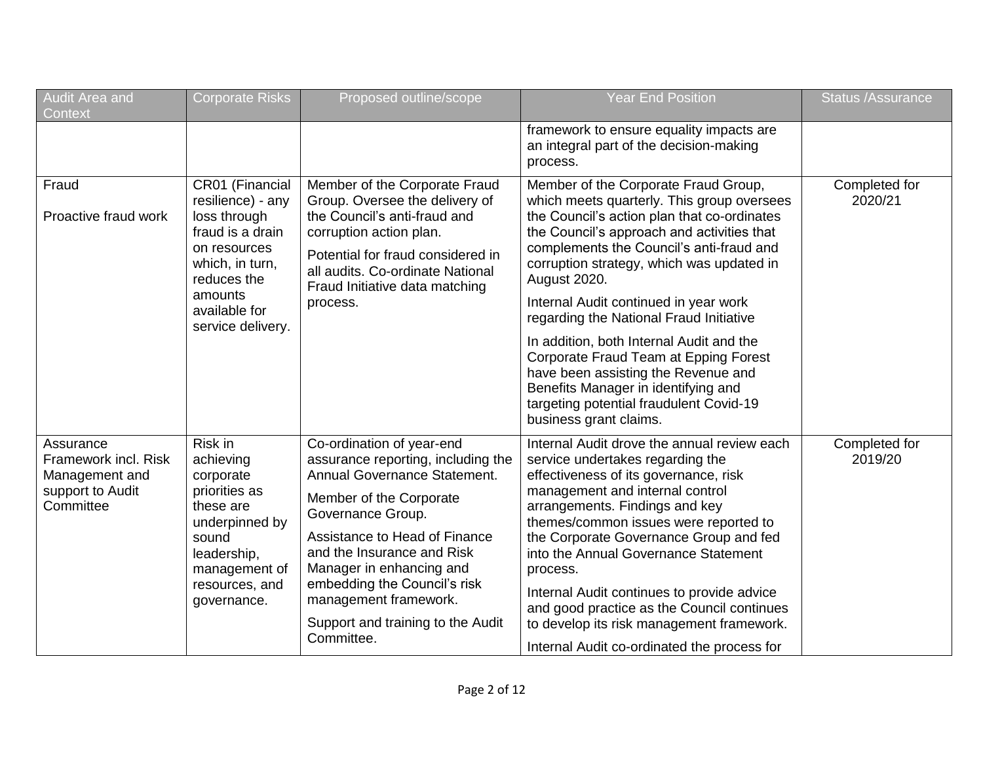| Audit Area and<br>Context                                                            | <b>Corporate Risks</b>                                                                                                                                                      | Proposed outline/scope                                                                                                                                                                                                                                                                                                                                 | Year End Position                                                                                                                                                                                                                                                                                                                                                                                                                                                                                                                                                                                                    | <b>Status /Assurance</b> |
|--------------------------------------------------------------------------------------|-----------------------------------------------------------------------------------------------------------------------------------------------------------------------------|--------------------------------------------------------------------------------------------------------------------------------------------------------------------------------------------------------------------------------------------------------------------------------------------------------------------------------------------------------|----------------------------------------------------------------------------------------------------------------------------------------------------------------------------------------------------------------------------------------------------------------------------------------------------------------------------------------------------------------------------------------------------------------------------------------------------------------------------------------------------------------------------------------------------------------------------------------------------------------------|--------------------------|
|                                                                                      |                                                                                                                                                                             |                                                                                                                                                                                                                                                                                                                                                        | framework to ensure equality impacts are<br>an integral part of the decision-making<br>process.                                                                                                                                                                                                                                                                                                                                                                                                                                                                                                                      |                          |
| Fraud<br>Proactive fraud work                                                        | CR01 (Financial<br>resilience) - any<br>loss through<br>fraud is a drain<br>on resources<br>which, in turn,<br>reduces the<br>amounts<br>available for<br>service delivery. | Member of the Corporate Fraud<br>Group. Oversee the delivery of<br>the Council's anti-fraud and<br>corruption action plan.<br>Potential for fraud considered in<br>all audits. Co-ordinate National<br>Fraud Initiative data matching<br>process.                                                                                                      | Member of the Corporate Fraud Group,<br>which meets quarterly. This group oversees<br>the Council's action plan that co-ordinates<br>the Council's approach and activities that<br>complements the Council's anti-fraud and<br>corruption strategy, which was updated in<br>August 2020.<br>Internal Audit continued in year work<br>regarding the National Fraud Initiative<br>In addition, both Internal Audit and the<br>Corporate Fraud Team at Epping Forest<br>have been assisting the Revenue and<br>Benefits Manager in identifying and<br>targeting potential fraudulent Covid-19<br>business grant claims. | Completed for<br>2020/21 |
| Assurance<br>Framework incl. Risk<br>Management and<br>support to Audit<br>Committee | Risk in<br>achieving<br>corporate<br>priorities as<br>these are<br>underpinned by<br>sound<br>leadership,<br>management of<br>resources, and<br>governance.                 | Co-ordination of year-end<br>assurance reporting, including the<br>Annual Governance Statement.<br>Member of the Corporate<br>Governance Group.<br>Assistance to Head of Finance<br>and the Insurance and Risk<br>Manager in enhancing and<br>embedding the Council's risk<br>management framework.<br>Support and training to the Audit<br>Committee. | Internal Audit drove the annual review each<br>service undertakes regarding the<br>effectiveness of its governance, risk<br>management and internal control<br>arrangements. Findings and key<br>themes/common issues were reported to<br>the Corporate Governance Group and fed<br>into the Annual Governance Statement<br>process.<br>Internal Audit continues to provide advice<br>and good practice as the Council continues<br>to develop its risk management framework.<br>Internal Audit co-ordinated the process for                                                                                         | Completed for<br>2019/20 |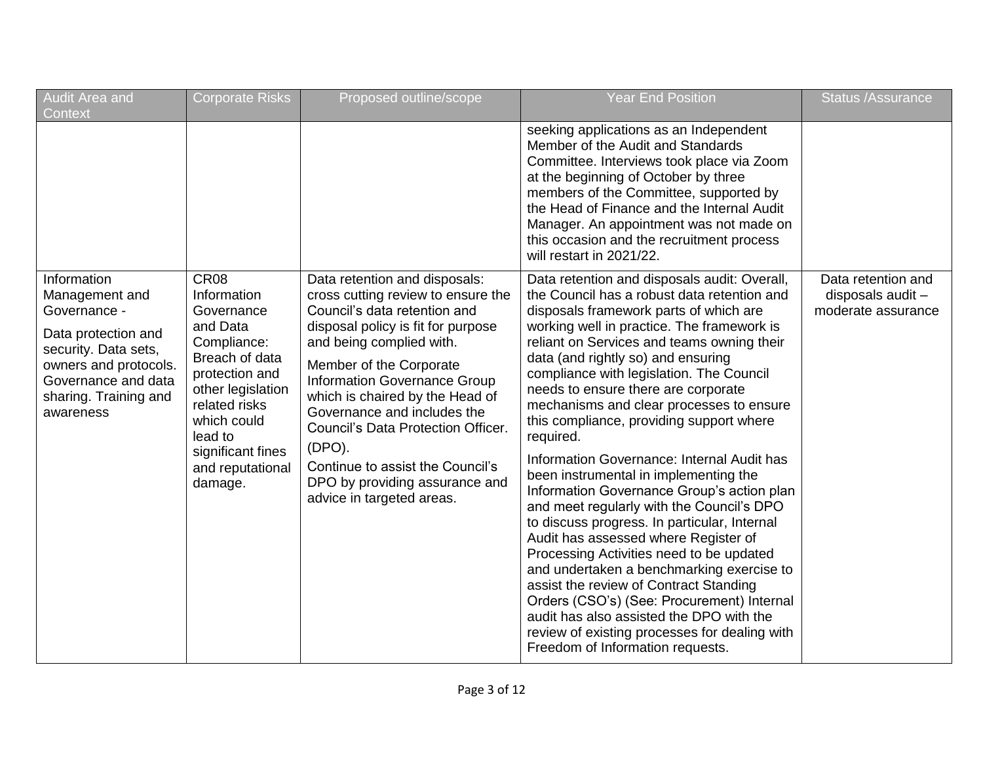| Audit Area and<br>Context                                                                                                                                                          | <b>Corporate Risks</b>                                                                                                                                                                                                      | Proposed outline/scope                                                                                                                                                                                                                                                                                                                                                                                                                                | <b>Year End Position</b>                                                                                                                                                                                                                                                                                                                                                                                                                                                                                                                                                                                                                                                                                                                                                                                                                                                                                                                                                                                                                                    | <b>Status /Assurance</b>                                      |
|------------------------------------------------------------------------------------------------------------------------------------------------------------------------------------|-----------------------------------------------------------------------------------------------------------------------------------------------------------------------------------------------------------------------------|-------------------------------------------------------------------------------------------------------------------------------------------------------------------------------------------------------------------------------------------------------------------------------------------------------------------------------------------------------------------------------------------------------------------------------------------------------|-------------------------------------------------------------------------------------------------------------------------------------------------------------------------------------------------------------------------------------------------------------------------------------------------------------------------------------------------------------------------------------------------------------------------------------------------------------------------------------------------------------------------------------------------------------------------------------------------------------------------------------------------------------------------------------------------------------------------------------------------------------------------------------------------------------------------------------------------------------------------------------------------------------------------------------------------------------------------------------------------------------------------------------------------------------|---------------------------------------------------------------|
|                                                                                                                                                                                    |                                                                                                                                                                                                                             |                                                                                                                                                                                                                                                                                                                                                                                                                                                       | seeking applications as an Independent<br>Member of the Audit and Standards<br>Committee. Interviews took place via Zoom<br>at the beginning of October by three<br>members of the Committee, supported by<br>the Head of Finance and the Internal Audit<br>Manager. An appointment was not made on<br>this occasion and the recruitment process<br>will restart in 2021/22.                                                                                                                                                                                                                                                                                                                                                                                                                                                                                                                                                                                                                                                                                |                                                               |
| Information<br>Management and<br>Governance -<br>Data protection and<br>security. Data sets,<br>owners and protocols.<br>Governance and data<br>sharing. Training and<br>awareness | <b>CR08</b><br>Information<br>Governance<br>and Data<br>Compliance:<br>Breach of data<br>protection and<br>other legislation<br>related risks<br>which could<br>lead to<br>significant fines<br>and reputational<br>damage. | Data retention and disposals:<br>cross cutting review to ensure the<br>Council's data retention and<br>disposal policy is fit for purpose<br>and being complied with.<br>Member of the Corporate<br>Information Governance Group<br>which is chaired by the Head of<br>Governance and includes the<br>Council's Data Protection Officer.<br>(DPO).<br>Continue to assist the Council's<br>DPO by providing assurance and<br>advice in targeted areas. | Data retention and disposals audit: Overall,<br>the Council has a robust data retention and<br>disposals framework parts of which are<br>working well in practice. The framework is<br>reliant on Services and teams owning their<br>data (and rightly so) and ensuring<br>compliance with legislation. The Council<br>needs to ensure there are corporate<br>mechanisms and clear processes to ensure<br>this compliance, providing support where<br>required.<br>Information Governance: Internal Audit has<br>been instrumental in implementing the<br>Information Governance Group's action plan<br>and meet regularly with the Council's DPO<br>to discuss progress. In particular, Internal<br>Audit has assessed where Register of<br>Processing Activities need to be updated<br>and undertaken a benchmarking exercise to<br>assist the review of Contract Standing<br>Orders (CSO's) (See: Procurement) Internal<br>audit has also assisted the DPO with the<br>review of existing processes for dealing with<br>Freedom of Information requests. | Data retention and<br>disposals audit -<br>moderate assurance |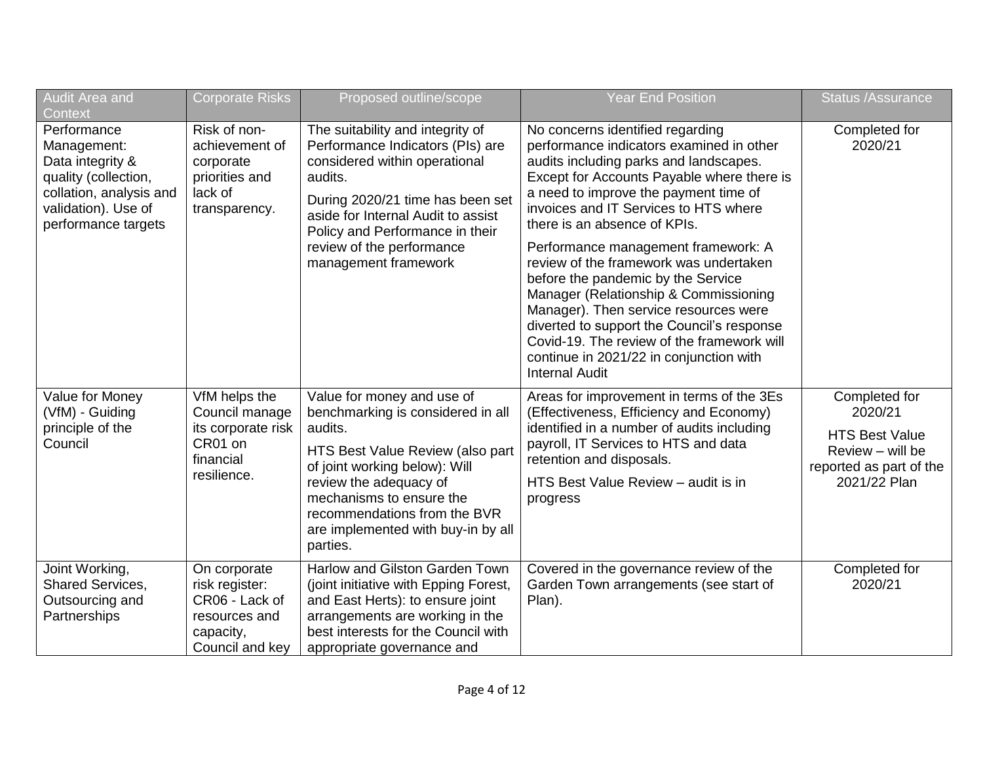| Audit Area and<br>Context                                                                                                                       | <b>Corporate Risks</b>                                                                            | Proposed outline/scope                                                                                                                                                                                                                                                                  | <b>Year End Position</b>                                                                                                                                                                                                                                                                                                                                                                                                                                                                                                                                                                                                                                        | <b>Status /Assurance</b>                                                                                         |
|-------------------------------------------------------------------------------------------------------------------------------------------------|---------------------------------------------------------------------------------------------------|-----------------------------------------------------------------------------------------------------------------------------------------------------------------------------------------------------------------------------------------------------------------------------------------|-----------------------------------------------------------------------------------------------------------------------------------------------------------------------------------------------------------------------------------------------------------------------------------------------------------------------------------------------------------------------------------------------------------------------------------------------------------------------------------------------------------------------------------------------------------------------------------------------------------------------------------------------------------------|------------------------------------------------------------------------------------------------------------------|
| Performance<br>Management:<br>Data integrity &<br>quality (collection,<br>collation, analysis and<br>validation). Use of<br>performance targets | Risk of non-<br>achievement of<br>corporate<br>priorities and<br>lack of<br>transparency.         | The suitability and integrity of<br>Performance Indicators (PIs) are<br>considered within operational<br>audits.<br>During 2020/21 time has been set<br>aside for Internal Audit to assist<br>Policy and Performance in their<br>review of the performance<br>management framework      | No concerns identified regarding<br>performance indicators examined in other<br>audits including parks and landscapes.<br>Except for Accounts Payable where there is<br>a need to improve the payment time of<br>invoices and IT Services to HTS where<br>there is an absence of KPIs.<br>Performance management framework: A<br>review of the framework was undertaken<br>before the pandemic by the Service<br>Manager (Relationship & Commissioning<br>Manager). Then service resources were<br>diverted to support the Council's response<br>Covid-19. The review of the framework will<br>continue in 2021/22 in conjunction with<br><b>Internal Audit</b> | Completed for<br>2020/21                                                                                         |
| Value for Money<br>(VfM) - Guiding<br>principle of the<br>Council                                                                               | VfM helps the<br>Council manage<br>its corporate risk<br>CR01 on<br>financial<br>resilience.      | Value for money and use of<br>benchmarking is considered in all<br>audits.<br>HTS Best Value Review (also part<br>of joint working below): Will<br>review the adequacy of<br>mechanisms to ensure the<br>recommendations from the BVR<br>are implemented with buy-in by all<br>parties. | Areas for improvement in terms of the 3Es<br>(Effectiveness, Efficiency and Economy)<br>identified in a number of audits including<br>payroll, IT Services to HTS and data<br>retention and disposals.<br>HTS Best Value Review - audit is in<br>progress                                                                                                                                                                                                                                                                                                                                                                                                       | Completed for<br>2020/21<br><b>HTS Best Value</b><br>Review - will be<br>reported as part of the<br>2021/22 Plan |
| Joint Working,<br>Shared Services,<br>Outsourcing and<br>Partnerships                                                                           | On corporate<br>risk register:<br>CR06 - Lack of<br>resources and<br>capacity,<br>Council and key | Harlow and Gilston Garden Town<br>(joint initiative with Epping Forest,<br>and East Herts): to ensure joint<br>arrangements are working in the<br>best interests for the Council with<br>appropriate governance and                                                                     | Covered in the governance review of the<br>Garden Town arrangements (see start of<br>Plan).                                                                                                                                                                                                                                                                                                                                                                                                                                                                                                                                                                     | Completed for<br>2020/21                                                                                         |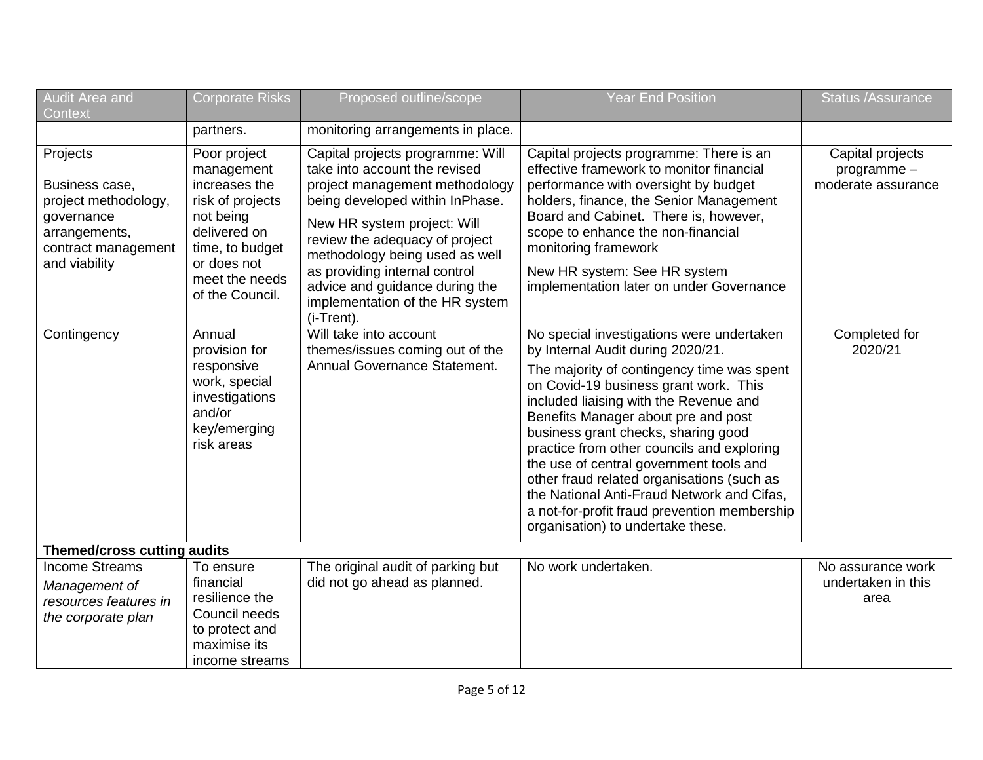| <b>Audit Area and</b><br>Context                                                                                          | Corporate Risks                                                                                                                                                     | Proposed outline/scope                                                                                                                                                                                                                                                                                                                                        | Year End Position                                                                                                                                                                                                                                                                                                                                                                                                                                                                                                                                                       | <b>Status /Assurance</b>                             |  |  |
|---------------------------------------------------------------------------------------------------------------------------|---------------------------------------------------------------------------------------------------------------------------------------------------------------------|---------------------------------------------------------------------------------------------------------------------------------------------------------------------------------------------------------------------------------------------------------------------------------------------------------------------------------------------------------------|-------------------------------------------------------------------------------------------------------------------------------------------------------------------------------------------------------------------------------------------------------------------------------------------------------------------------------------------------------------------------------------------------------------------------------------------------------------------------------------------------------------------------------------------------------------------------|------------------------------------------------------|--|--|
|                                                                                                                           | partners.                                                                                                                                                           | monitoring arrangements in place.                                                                                                                                                                                                                                                                                                                             |                                                                                                                                                                                                                                                                                                                                                                                                                                                                                                                                                                         |                                                      |  |  |
| Projects<br>Business case,<br>project methodology,<br>governance<br>arrangements,<br>contract management<br>and viability | Poor project<br>management<br>increases the<br>risk of projects<br>not being<br>delivered on<br>time, to budget<br>or does not<br>meet the needs<br>of the Council. | Capital projects programme: Will<br>take into account the revised<br>project management methodology<br>being developed within InPhase.<br>New HR system project: Will<br>review the adequacy of project<br>methodology being used as well<br>as providing internal control<br>advice and guidance during the<br>implementation of the HR system<br>(i-Trent). | Capital projects programme: There is an<br>effective framework to monitor financial<br>performance with oversight by budget<br>holders, finance, the Senior Management<br>Board and Cabinet. There is, however,<br>scope to enhance the non-financial<br>monitoring framework<br>New HR system: See HR system<br>implementation later on under Governance                                                                                                                                                                                                               | Capital projects<br>programme-<br>moderate assurance |  |  |
| Contingency                                                                                                               | Annual<br>provision for<br>responsive<br>work, special<br>investigations<br>and/or<br>key/emerging<br>risk areas                                                    | Will take into account<br>themes/issues coming out of the<br>Annual Governance Statement.                                                                                                                                                                                                                                                                     | No special investigations were undertaken<br>by Internal Audit during 2020/21.<br>The majority of contingency time was spent<br>on Covid-19 business grant work. This<br>included liaising with the Revenue and<br>Benefits Manager about pre and post<br>business grant checks, sharing good<br>practice from other councils and exploring<br>the use of central government tools and<br>other fraud related organisations (such as<br>the National Anti-Fraud Network and Cifas,<br>a not-for-profit fraud prevention membership<br>organisation) to undertake these. | Completed for<br>2020/21                             |  |  |
| <b>Themed/cross cutting audits</b>                                                                                        |                                                                                                                                                                     |                                                                                                                                                                                                                                                                                                                                                               |                                                                                                                                                                                                                                                                                                                                                                                                                                                                                                                                                                         |                                                      |  |  |
| <b>Income Streams</b><br>Management of<br>resources features in<br>the corporate plan                                     | To ensure<br>financial<br>resilience the<br>Council needs<br>to protect and<br>maximise its<br>income streams                                                       | The original audit of parking but<br>did not go ahead as planned.                                                                                                                                                                                                                                                                                             | No work undertaken.                                                                                                                                                                                                                                                                                                                                                                                                                                                                                                                                                     | No assurance work<br>undertaken in this<br>area      |  |  |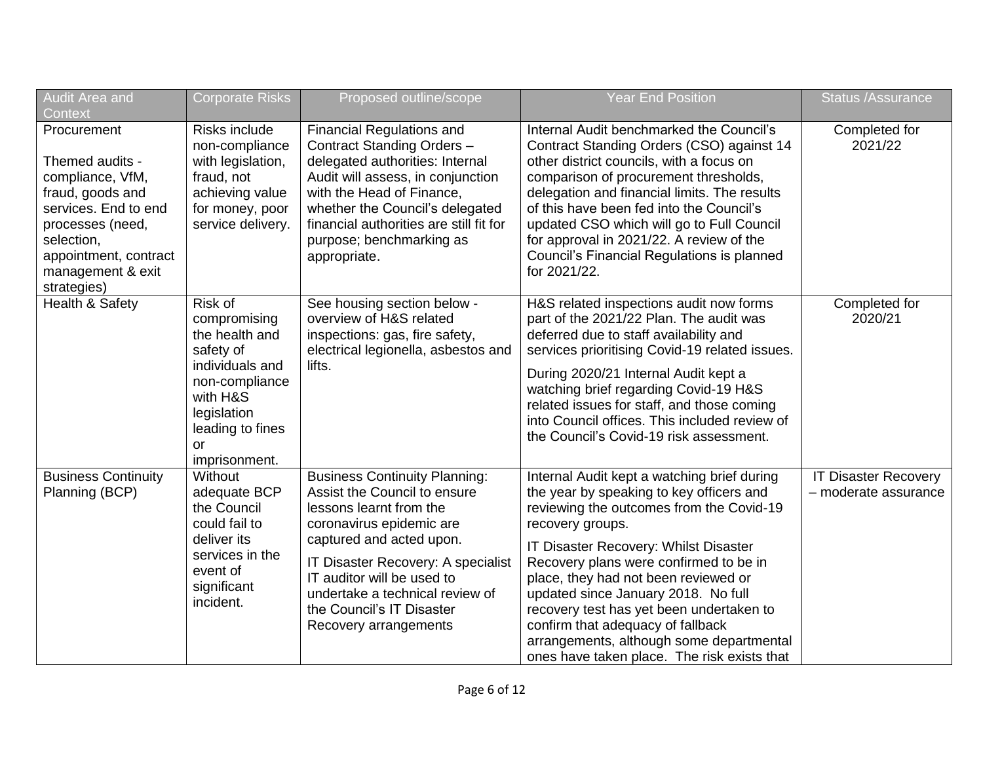| <b>Audit Area and</b><br>Context                                                                                                                                                              | <b>Corporate Risks</b>                                                                                                                                            | Proposed outline/scope                                                                                                                                                                                                                                                                                               | <b>Year End Position</b>                                                                                                                                                                                                                                                                                                                                                                                                                                                                              | <b>Status /Assurance</b>                            |
|-----------------------------------------------------------------------------------------------------------------------------------------------------------------------------------------------|-------------------------------------------------------------------------------------------------------------------------------------------------------------------|----------------------------------------------------------------------------------------------------------------------------------------------------------------------------------------------------------------------------------------------------------------------------------------------------------------------|-------------------------------------------------------------------------------------------------------------------------------------------------------------------------------------------------------------------------------------------------------------------------------------------------------------------------------------------------------------------------------------------------------------------------------------------------------------------------------------------------------|-----------------------------------------------------|
| Procurement<br>Themed audits -<br>compliance, VfM,<br>fraud, goods and<br>services. End to end<br>processes (need,<br>selection,<br>appointment, contract<br>management & exit<br>strategies) | <b>Risks include</b><br>non-compliance<br>with legislation,<br>fraud, not<br>achieving value<br>for money, poor<br>service delivery.                              | <b>Financial Regulations and</b><br>Contract Standing Orders -<br>delegated authorities: Internal<br>Audit will assess, in conjunction<br>with the Head of Finance,<br>whether the Council's delegated<br>financial authorities are still fit for<br>purpose; benchmarking as<br>appropriate.                        | Internal Audit benchmarked the Council's<br>Contract Standing Orders (CSO) against 14<br>other district councils, with a focus on<br>comparison of procurement thresholds,<br>delegation and financial limits. The results<br>of this have been fed into the Council's<br>updated CSO which will go to Full Council<br>for approval in 2021/22. A review of the<br>Council's Financial Regulations is planned<br>for 2021/22.                                                                         | Completed for<br>2021/22                            |
| Health & Safety                                                                                                                                                                               | Risk of<br>compromising<br>the health and<br>safety of<br>individuals and<br>non-compliance<br>with H&S<br>legislation<br>leading to fines<br>or<br>imprisonment. | See housing section below -<br>overview of H&S related<br>inspections: gas, fire safety,<br>electrical legionella, asbestos and<br>lifts.                                                                                                                                                                            | H&S related inspections audit now forms<br>part of the 2021/22 Plan. The audit was<br>deferred due to staff availability and<br>services prioritising Covid-19 related issues.<br>During 2020/21 Internal Audit kept a<br>watching brief regarding Covid-19 H&S<br>related issues for staff, and those coming<br>into Council offices. This included review of<br>the Council's Covid-19 risk assessment.                                                                                             | Completed for<br>2020/21                            |
| <b>Business Continuity</b><br>Planning (BCP)                                                                                                                                                  | Without<br>adequate BCP<br>the Council<br>could fail to<br>deliver its<br>services in the<br>event of<br>significant<br>incident.                                 | <b>Business Continuity Planning:</b><br>Assist the Council to ensure<br>lessons learnt from the<br>coronavirus epidemic are<br>captured and acted upon.<br>IT Disaster Recovery: A specialist<br>IT auditor will be used to<br>undertake a technical review of<br>the Council's IT Disaster<br>Recovery arrangements | Internal Audit kept a watching brief during<br>the year by speaking to key officers and<br>reviewing the outcomes from the Covid-19<br>recovery groups.<br>IT Disaster Recovery: Whilst Disaster<br>Recovery plans were confirmed to be in<br>place, they had not been reviewed or<br>updated since January 2018. No full<br>recovery test has yet been undertaken to<br>confirm that adequacy of fallback<br>arrangements, although some departmental<br>ones have taken place. The risk exists that | <b>IT Disaster Recovery</b><br>- moderate assurance |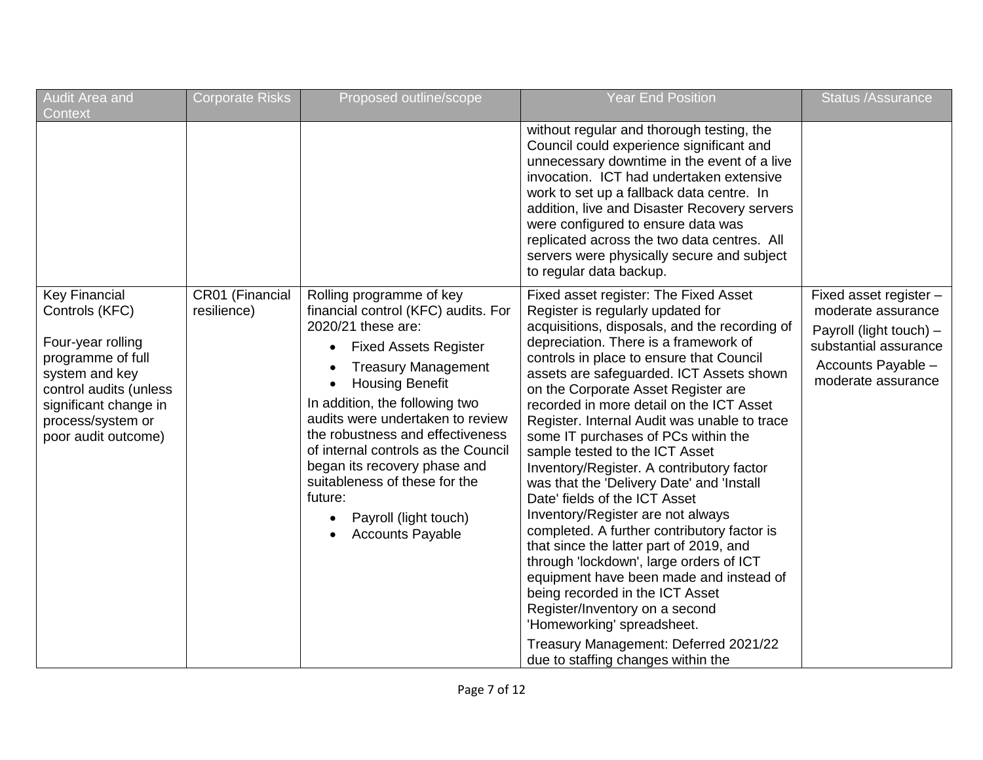| Audit Area and<br>Context                                                                                                                                                                         | <b>Corporate Risks</b>         | Proposed outline/scope                                                                                                                                                                                                                                                                                                                                                                                                                                         | <b>Year End Position</b>                                                                                                                                                                                                                                                                                                                                                                                                                                                                                                                                                                                                                                                                                                                                                                                                                                                                                                                                                                                   | <b>Status /Assurance</b>                                                                                                                     |
|---------------------------------------------------------------------------------------------------------------------------------------------------------------------------------------------------|--------------------------------|----------------------------------------------------------------------------------------------------------------------------------------------------------------------------------------------------------------------------------------------------------------------------------------------------------------------------------------------------------------------------------------------------------------------------------------------------------------|------------------------------------------------------------------------------------------------------------------------------------------------------------------------------------------------------------------------------------------------------------------------------------------------------------------------------------------------------------------------------------------------------------------------------------------------------------------------------------------------------------------------------------------------------------------------------------------------------------------------------------------------------------------------------------------------------------------------------------------------------------------------------------------------------------------------------------------------------------------------------------------------------------------------------------------------------------------------------------------------------------|----------------------------------------------------------------------------------------------------------------------------------------------|
|                                                                                                                                                                                                   |                                |                                                                                                                                                                                                                                                                                                                                                                                                                                                                | without regular and thorough testing, the<br>Council could experience significant and<br>unnecessary downtime in the event of a live<br>invocation. ICT had undertaken extensive<br>work to set up a fallback data centre. In<br>addition, live and Disaster Recovery servers<br>were configured to ensure data was<br>replicated across the two data centres. All<br>servers were physically secure and subject<br>to regular data backup.                                                                                                                                                                                                                                                                                                                                                                                                                                                                                                                                                                |                                                                                                                                              |
| <b>Key Financial</b><br>Controls (KFC)<br>Four-year rolling<br>programme of full<br>system and key<br>control audits (unless<br>significant change in<br>process/system or<br>poor audit outcome) | CR01 (Financial<br>resilience) | Rolling programme of key<br>financial control (KFC) audits. For<br>2020/21 these are:<br><b>Fixed Assets Register</b><br><b>Treasury Management</b><br><b>Housing Benefit</b><br>In addition, the following two<br>audits were undertaken to review<br>the robustness and effectiveness<br>of internal controls as the Council<br>began its recovery phase and<br>suitableness of these for the<br>future:<br>Payroll (light touch)<br><b>Accounts Payable</b> | Fixed asset register: The Fixed Asset<br>Register is regularly updated for<br>acquisitions, disposals, and the recording of<br>depreciation. There is a framework of<br>controls in place to ensure that Council<br>assets are safeguarded. ICT Assets shown<br>on the Corporate Asset Register are<br>recorded in more detail on the ICT Asset<br>Register. Internal Audit was unable to trace<br>some IT purchases of PCs within the<br>sample tested to the ICT Asset<br>Inventory/Register. A contributory factor<br>was that the 'Delivery Date' and 'Install<br>Date' fields of the ICT Asset<br>Inventory/Register are not always<br>completed. A further contributory factor is<br>that since the latter part of 2019, and<br>through 'lockdown', large orders of ICT<br>equipment have been made and instead of<br>being recorded in the ICT Asset<br>Register/Inventory on a second<br>'Homeworking' spreadsheet.<br>Treasury Management: Deferred 2021/22<br>due to staffing changes within the | Fixed asset register -<br>moderate assurance<br>Payroll (light touch) -<br>substantial assurance<br>Accounts Payable -<br>moderate assurance |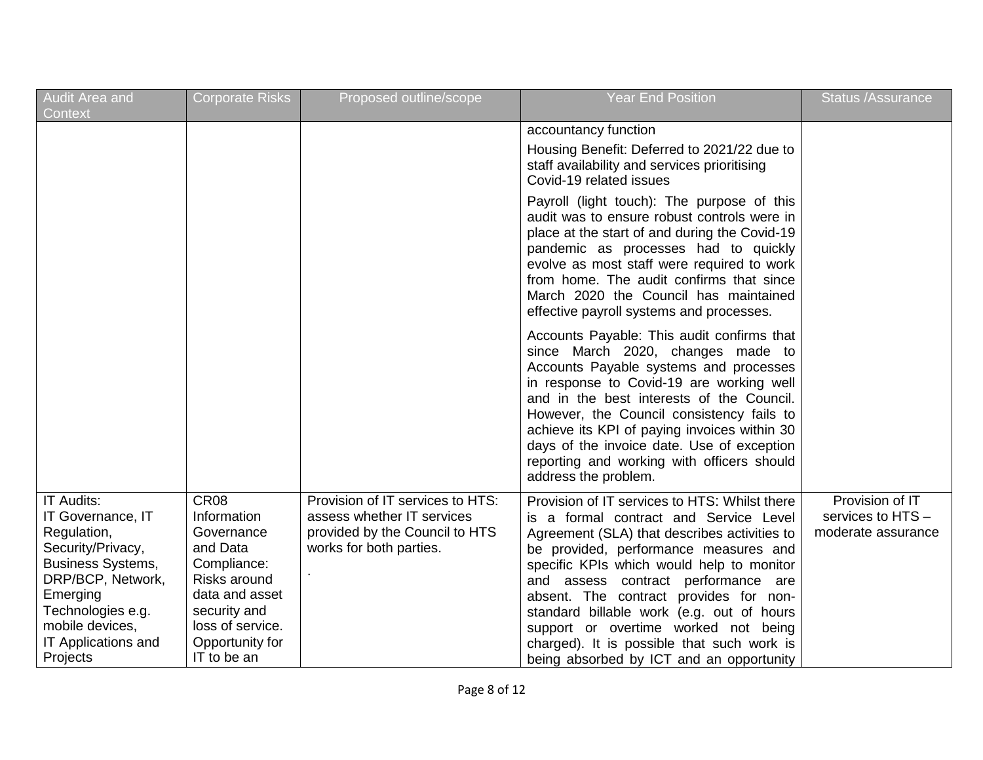| Audit Area and<br>Context                                                                                                                                                                                          | <b>Corporate Risks</b>                                                                                                                                                           | Proposed outline/scope                                                                                                      | <b>Year End Position</b>                                                                                                                                                                                                                                                                                                                                                                                                                                                                      | <b>Status /Assurance</b>                                   |
|--------------------------------------------------------------------------------------------------------------------------------------------------------------------------------------------------------------------|----------------------------------------------------------------------------------------------------------------------------------------------------------------------------------|-----------------------------------------------------------------------------------------------------------------------------|-----------------------------------------------------------------------------------------------------------------------------------------------------------------------------------------------------------------------------------------------------------------------------------------------------------------------------------------------------------------------------------------------------------------------------------------------------------------------------------------------|------------------------------------------------------------|
|                                                                                                                                                                                                                    |                                                                                                                                                                                  |                                                                                                                             | accountancy function<br>Housing Benefit: Deferred to 2021/22 due to<br>staff availability and services prioritising<br>Covid-19 related issues                                                                                                                                                                                                                                                                                                                                                |                                                            |
|                                                                                                                                                                                                                    |                                                                                                                                                                                  |                                                                                                                             | Payroll (light touch): The purpose of this<br>audit was to ensure robust controls were in<br>place at the start of and during the Covid-19<br>pandemic as processes had to quickly<br>evolve as most staff were required to work<br>from home. The audit confirms that since<br>March 2020 the Council has maintained<br>effective payroll systems and processes.                                                                                                                             |                                                            |
|                                                                                                                                                                                                                    |                                                                                                                                                                                  |                                                                                                                             | Accounts Payable: This audit confirms that<br>since March 2020, changes made to<br>Accounts Payable systems and processes<br>in response to Covid-19 are working well<br>and in the best interests of the Council.<br>However, the Council consistency fails to<br>achieve its KPI of paying invoices within 30<br>days of the invoice date. Use of exception<br>reporting and working with officers should<br>address the problem.                                                           |                                                            |
| <b>IT Audits:</b><br>IT Governance, IT<br>Regulation,<br>Security/Privacy,<br><b>Business Systems,</b><br>DRP/BCP, Network,<br>Emerging<br>Technologies e.g.<br>mobile devices,<br>IT Applications and<br>Projects | CR <sub>08</sub><br>Information<br>Governance<br>and Data<br>Compliance:<br>Risks around<br>data and asset<br>security and<br>loss of service.<br>Opportunity for<br>IT to be an | Provision of IT services to HTS:<br>assess whether IT services<br>provided by the Council to HTS<br>works for both parties. | Provision of IT services to HTS: Whilst there<br>is a formal contract and Service Level<br>Agreement (SLA) that describes activities to<br>be provided, performance measures and<br>specific KPIs which would help to monitor<br>and assess contract performance are<br>absent. The contract provides for non-<br>standard billable work (e.g. out of hours<br>support or overtime worked not being<br>charged). It is possible that such work is<br>being absorbed by ICT and an opportunity | Provision of IT<br>services to HTS -<br>moderate assurance |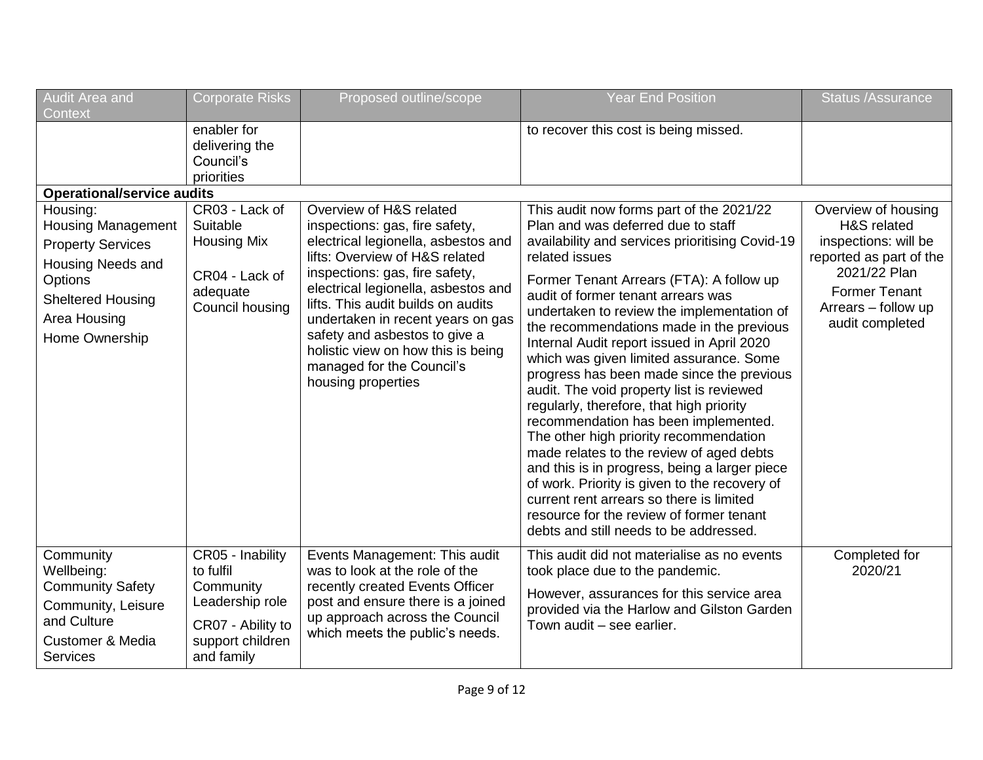| <b>Audit Area and</b><br>Context                                                                                                                                       | <b>Corporate Risks</b>                                                                                               | Proposed outline/scope                                                                                                                                                                                                                                                                                                                                                                                           | <b>Year End Position</b>                                                                                                                                                                                                                                                                                                                                                                                                                                                                                                                                                                                                                                                                                                                                                                                                                                                                                                         | <b>Status /Assurance</b>                                                                                                                                                |
|------------------------------------------------------------------------------------------------------------------------------------------------------------------------|----------------------------------------------------------------------------------------------------------------------|------------------------------------------------------------------------------------------------------------------------------------------------------------------------------------------------------------------------------------------------------------------------------------------------------------------------------------------------------------------------------------------------------------------|----------------------------------------------------------------------------------------------------------------------------------------------------------------------------------------------------------------------------------------------------------------------------------------------------------------------------------------------------------------------------------------------------------------------------------------------------------------------------------------------------------------------------------------------------------------------------------------------------------------------------------------------------------------------------------------------------------------------------------------------------------------------------------------------------------------------------------------------------------------------------------------------------------------------------------|-------------------------------------------------------------------------------------------------------------------------------------------------------------------------|
|                                                                                                                                                                        | enabler for<br>delivering the<br>Council's<br>priorities                                                             |                                                                                                                                                                                                                                                                                                                                                                                                                  | to recover this cost is being missed.                                                                                                                                                                                                                                                                                                                                                                                                                                                                                                                                                                                                                                                                                                                                                                                                                                                                                            |                                                                                                                                                                         |
| <b>Operational/service audits</b>                                                                                                                                      |                                                                                                                      |                                                                                                                                                                                                                                                                                                                                                                                                                  |                                                                                                                                                                                                                                                                                                                                                                                                                                                                                                                                                                                                                                                                                                                                                                                                                                                                                                                                  |                                                                                                                                                                         |
| Housing:<br><b>Housing Management</b><br><b>Property Services</b><br>Housing Needs and<br><b>Options</b><br><b>Sheltered Housing</b><br>Area Housing<br>Home Ownership | CR03 - Lack of<br>Suitable<br><b>Housing Mix</b><br>CR04 - Lack of<br>adequate<br>Council housing                    | Overview of H&S related<br>inspections: gas, fire safety,<br>electrical legionella, asbestos and<br>lifts: Overview of H&S related<br>inspections: gas, fire safety,<br>electrical legionella, asbestos and<br>lifts. This audit builds on audits<br>undertaken in recent years on gas<br>safety and asbestos to give a<br>holistic view on how this is being<br>managed for the Council's<br>housing properties | This audit now forms part of the 2021/22<br>Plan and was deferred due to staff<br>availability and services prioritising Covid-19<br>related issues<br>Former Tenant Arrears (FTA): A follow up<br>audit of former tenant arrears was<br>undertaken to review the implementation of<br>the recommendations made in the previous<br>Internal Audit report issued in April 2020<br>which was given limited assurance. Some<br>progress has been made since the previous<br>audit. The void property list is reviewed<br>regularly, therefore, that high priority<br>recommendation has been implemented.<br>The other high priority recommendation<br>made relates to the review of aged debts<br>and this is in progress, being a larger piece<br>of work. Priority is given to the recovery of<br>current rent arrears so there is limited<br>resource for the review of former tenant<br>debts and still needs to be addressed. | Overview of housing<br>H&S related<br>inspections: will be<br>reported as part of the<br>2021/22 Plan<br><b>Former Tenant</b><br>Arrears - follow up<br>audit completed |
| Community<br>Wellbeing:<br><b>Community Safety</b><br>Community, Leisure<br>and Culture<br><b>Customer &amp; Media</b><br>Services                                     | CR05 - Inability<br>to fulfil<br>Community<br>Leadership role<br>CR07 - Ability to<br>support children<br>and family | Events Management: This audit<br>was to look at the role of the<br>recently created Events Officer<br>post and ensure there is a joined<br>up approach across the Council<br>which meets the public's needs.                                                                                                                                                                                                     | This audit did not materialise as no events<br>took place due to the pandemic.<br>However, assurances for this service area<br>provided via the Harlow and Gilston Garden<br>Town audit - see earlier.                                                                                                                                                                                                                                                                                                                                                                                                                                                                                                                                                                                                                                                                                                                           | Completed for<br>2020/21                                                                                                                                                |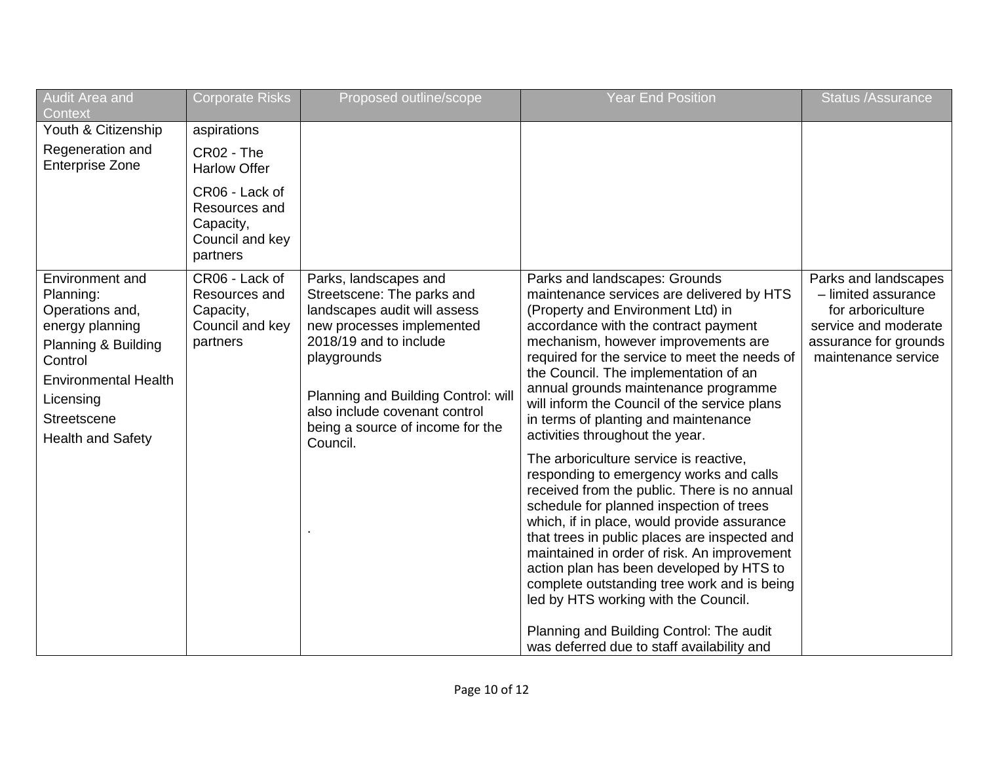| Audit Area and<br>Context                                                                                                                                                                   | <b>Corporate Risks</b>                                                      | Proposed outline/scope                                                                                                                                                                                                                                                            | <b>Year End Position</b>                                                                                                                                                                                                                                                                                                                                                                                                                                                                                                                                                                                                                                                                                                                                                                                                                                                                                                       | <b>Status /Assurance</b>                                                                                                                 |
|---------------------------------------------------------------------------------------------------------------------------------------------------------------------------------------------|-----------------------------------------------------------------------------|-----------------------------------------------------------------------------------------------------------------------------------------------------------------------------------------------------------------------------------------------------------------------------------|--------------------------------------------------------------------------------------------------------------------------------------------------------------------------------------------------------------------------------------------------------------------------------------------------------------------------------------------------------------------------------------------------------------------------------------------------------------------------------------------------------------------------------------------------------------------------------------------------------------------------------------------------------------------------------------------------------------------------------------------------------------------------------------------------------------------------------------------------------------------------------------------------------------------------------|------------------------------------------------------------------------------------------------------------------------------------------|
| Youth & Citizenship                                                                                                                                                                         | aspirations                                                                 |                                                                                                                                                                                                                                                                                   |                                                                                                                                                                                                                                                                                                                                                                                                                                                                                                                                                                                                                                                                                                                                                                                                                                                                                                                                |                                                                                                                                          |
| Regeneration and<br><b>Enterprise Zone</b>                                                                                                                                                  | CR02 - The<br><b>Harlow Offer</b>                                           |                                                                                                                                                                                                                                                                                   |                                                                                                                                                                                                                                                                                                                                                                                                                                                                                                                                                                                                                                                                                                                                                                                                                                                                                                                                |                                                                                                                                          |
|                                                                                                                                                                                             | CR06 - Lack of<br>Resources and<br>Capacity,<br>Council and key<br>partners |                                                                                                                                                                                                                                                                                   |                                                                                                                                                                                                                                                                                                                                                                                                                                                                                                                                                                                                                                                                                                                                                                                                                                                                                                                                |                                                                                                                                          |
| Environment and<br>Planning:<br>Operations and,<br>energy planning<br>Planning & Building<br>Control<br><b>Environmental Health</b><br>Licensing<br>Streetscene<br><b>Health and Safety</b> | CR06 - Lack of<br>Resources and<br>Capacity,<br>Council and key<br>partners | Parks, landscapes and<br>Streetscene: The parks and<br>landscapes audit will assess<br>new processes implemented<br>2018/19 and to include<br>playgrounds<br>Planning and Building Control: will<br>also include covenant control<br>being a source of income for the<br>Council. | Parks and landscapes: Grounds<br>maintenance services are delivered by HTS<br>(Property and Environment Ltd) in<br>accordance with the contract payment<br>mechanism, however improvements are<br>required for the service to meet the needs of<br>the Council. The implementation of an<br>annual grounds maintenance programme<br>will inform the Council of the service plans<br>in terms of planting and maintenance<br>activities throughout the year.<br>The arboriculture service is reactive,<br>responding to emergency works and calls<br>received from the public. There is no annual<br>schedule for planned inspection of trees<br>which, if in place, would provide assurance<br>that trees in public places are inspected and<br>maintained in order of risk. An improvement<br>action plan has been developed by HTS to<br>complete outstanding tree work and is being<br>led by HTS working with the Council. | Parks and landscapes<br>- limited assurance<br>for arboriculture<br>service and moderate<br>assurance for grounds<br>maintenance service |
|                                                                                                                                                                                             |                                                                             |                                                                                                                                                                                                                                                                                   | Planning and Building Control: The audit<br>was deferred due to staff availability and                                                                                                                                                                                                                                                                                                                                                                                                                                                                                                                                                                                                                                                                                                                                                                                                                                         |                                                                                                                                          |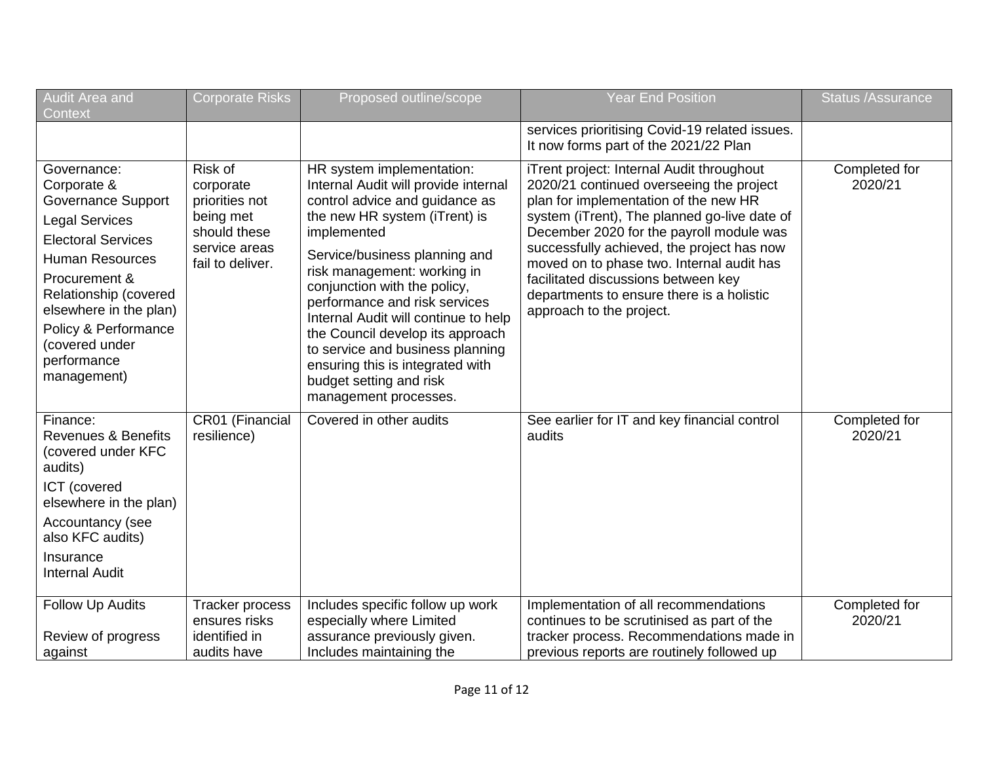| Audit Area and<br><b>Context</b>                                                                                                                                                                                                                                             | <b>Corporate Risks</b>                                                                                   | Proposed outline/scope                                                                                                                                                                                                                                                                                                                                                                                                                                                                       | <b>Year End Position</b>                                                                                                                                                                                                                                                                                                                                                                                                              | <b>Status /Assurance</b> |
|------------------------------------------------------------------------------------------------------------------------------------------------------------------------------------------------------------------------------------------------------------------------------|----------------------------------------------------------------------------------------------------------|----------------------------------------------------------------------------------------------------------------------------------------------------------------------------------------------------------------------------------------------------------------------------------------------------------------------------------------------------------------------------------------------------------------------------------------------------------------------------------------------|---------------------------------------------------------------------------------------------------------------------------------------------------------------------------------------------------------------------------------------------------------------------------------------------------------------------------------------------------------------------------------------------------------------------------------------|--------------------------|
|                                                                                                                                                                                                                                                                              |                                                                                                          |                                                                                                                                                                                                                                                                                                                                                                                                                                                                                              | services prioritising Covid-19 related issues.<br>It now forms part of the 2021/22 Plan                                                                                                                                                                                                                                                                                                                                               |                          |
| Governance:<br>Corporate &<br>Governance Support<br><b>Legal Services</b><br><b>Electoral Services</b><br><b>Human Resources</b><br>Procurement &<br>Relationship (covered<br>elsewhere in the plan)<br>Policy & Performance<br>(covered under<br>performance<br>management) | Risk of<br>corporate<br>priorities not<br>being met<br>should these<br>service areas<br>fail to deliver. | HR system implementation:<br>Internal Audit will provide internal<br>control advice and guidance as<br>the new HR system (iTrent) is<br>implemented<br>Service/business planning and<br>risk management: working in<br>conjunction with the policy,<br>performance and risk services<br>Internal Audit will continue to help<br>the Council develop its approach<br>to service and business planning<br>ensuring this is integrated with<br>budget setting and risk<br>management processes. | iTrent project: Internal Audit throughout<br>2020/21 continued overseeing the project<br>plan for implementation of the new HR<br>system (iTrent), The planned go-live date of<br>December 2020 for the payroll module was<br>successfully achieved, the project has now<br>moved on to phase two. Internal audit has<br>facilitated discussions between key<br>departments to ensure there is a holistic<br>approach to the project. | Completed for<br>2020/21 |
| Finance:<br><b>Revenues &amp; Benefits</b><br>(covered under KFC<br>audits)<br>ICT (covered<br>elsewhere in the plan)<br>Accountancy (see<br>also KFC audits)<br>Insurance<br><b>Internal Audit</b>                                                                          | CR01 (Financial<br>resilience)                                                                           | Covered in other audits                                                                                                                                                                                                                                                                                                                                                                                                                                                                      | See earlier for IT and key financial control<br>audits                                                                                                                                                                                                                                                                                                                                                                                | Completed for<br>2020/21 |
| <b>Follow Up Audits</b><br>Review of progress<br>against                                                                                                                                                                                                                     | Tracker process<br>ensures risks<br>identified in<br>audits have                                         | Includes specific follow up work<br>especially where Limited<br>assurance previously given.<br>Includes maintaining the                                                                                                                                                                                                                                                                                                                                                                      | Implementation of all recommendations<br>continues to be scrutinised as part of the<br>tracker process. Recommendations made in<br>previous reports are routinely followed up                                                                                                                                                                                                                                                         | Completed for<br>2020/21 |